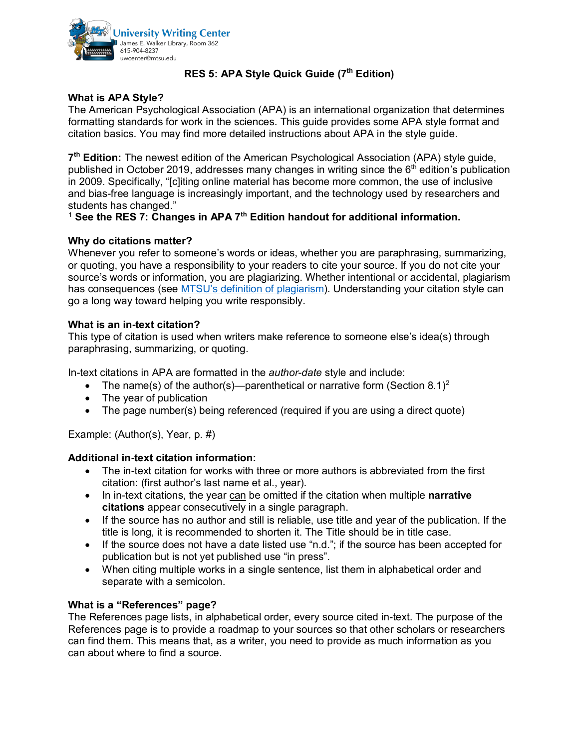

# **RES 5: APA Style Quick Guide (7th Edition)**

## **What is APA Style?**

The American Psychological Association (APA) is an international organization that determines formatting standards for work in the sciences. This guide provides some APA style format and citation basics. You may find more detailed instructions about APA in the style guide.

**7th Edition:** The newest edition of the American Psychological Association (APA) style guide, published in October 2019, addresses many changes in writing since the  $6<sup>th</sup>$  edition's publication in 2009. Specifically, "[c]iting online material has become more common, the use of inclusive and bias-free language is increasingly important, and the technology used by researchers and students has changed."

## [1](#page-1-0) **See the RES 7: Changes in APA 7th Edition handout for additional information.**

## **Why do citations matter?**

Whenever you refer to someone's words or ideas, whether you are paraphrasing, summarizing, or quoting, you have a responsibility to your readers to cite your source. If you do not cite your source's words or information, you are plagiarizing. Whether intentional or accidental, plagiarism has consequences (see [MTSU's definition of plagiarism\)](https://www.mtsu.edu/provost/academic-integrity.php). Understanding your citation style can go a long way toward helping you write responsibly.

### **What is an in-text citation?**

This type of citation is used when writers make reference to someone else's idea(s) through paraphrasing, summarizing, or quoting.

In-text citations in APA are formatted in the *author-date* style and include:

- The name(s) of the author(s)—parenthetical or narrative form (Section 8.1)<sup>[2](#page-1-1)</sup>
- The year of publication
- The page number(s) being referenced (required if you are using a direct quote)

Example: (Author(s), Year, p. #)

### **Additional in-text citation information:**

- The in-text citation for works with three or more authors is abbreviated from the first citation: (first author's last name et al., year).
- In in-text citations, the year can be omitted if the citation when multiple **narrative citations** appear consecutively in a single paragraph.
- If the source has no author and still is reliable, use title and year of the publication. If the title is long, it is recommended to shorten it. The Title should be in title case.
- If the source does not have a date listed use "n.d."; if the source has been accepted for publication but is not yet published use "in press".
- When citing multiple works in a single sentence, list them in alphabetical order and separate with a semicolon.

### **What is a "References" page?**

The References page lists, in alphabetical order, every source cited in-text. The purpose of the References page is to provide a roadmap to your sources so that other scholars or researchers can find them. This means that, as a writer, you need to provide as much information as you can about where to find a source.